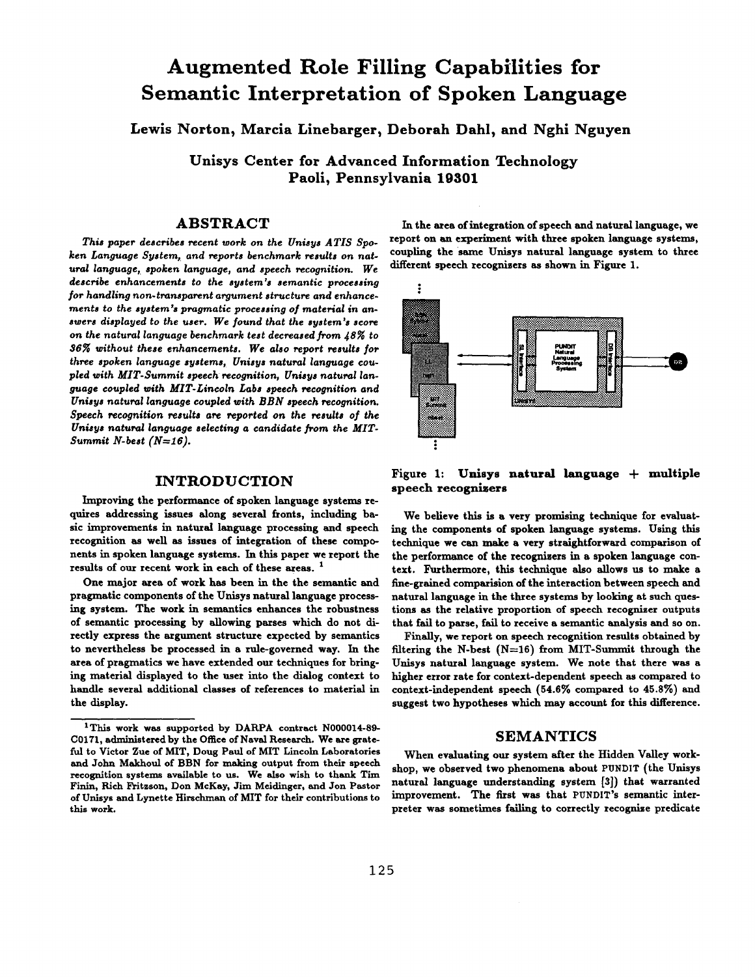# **Augmented Role Filling Capabilities for Semantic Interpretation of Spoken Language**

**Lewis Norton, Marcia Linebarger, Deborah Dahl, and Nghi Nguyen** 

**Unisys Center for Advanced Information Technology Paoli, Pennsylvania 19301** 

# **ABSTRACT**

*This paper describes recent work on the Unisys ATIS Spoken Language System, and reports benchmark results on natural language, spoken language, and speech recognition. We describe enhancements to the system's semantic processing for handling non.transparent argument structure and enhance*ments to the system's pragmatic processing of material in an*swers displayed to the user. We found that the system's score*  on the natural language benchmark test decreased from  $48\%$  to *36~ without these enhancements. We also report results for three spoken language systems, Unisys natural language coupled with MIT-Summit speech recognition, Unisys natural language coupled wish MIT-Lincoln Labs speech recognition and Unisys natural language coupled with BBN speech recognition. Speech recognition results are reported on the results of the Unisys natural language selecting a candidate from the MIT-Summit N-best (N=16).* 

# INTRODUCTION

Improving the performance of spoken language systems requires addressing issues along several fronts, including basic improvements in natural language processing and speech recognition as well as issues of integration of these components in spoken language systems. In this paper we report the results of our recent work in each of these areas.<sup>1</sup>

One major area of work has been in the the semantic and pragmatic components of the Unisys natural language processing system. The work in semantics enhances the robustness of semantic processing by allowing parses which do not directly express the argument structure expected by semantics to nevertheless be processed in a rule-governed way. In the area of pragmatics we have extended our techniques for bringing material displayed to the user into the dialog context to handle several additional classes of references to material in the display.

In the area of integration of speech and natural language, we report on an experiment with three spoken language systems, coupling the same Unisys natural language system to three different speech recognisers as shown in Figure 1.



Figure 1: Unisys natural language + multiple speech recognizers

We believe this is a very promising technique for evaluating the components of spoken language systems. Using this technique we can make a very straightforward comparison of the performance of the recognizers in a spoken language context. Furthermore, this technique also allows us to make a fine-gralned comparision of the interaction between speech and natural language in the three systems by looking at such questions as the relative proportion of speech recognizer outputs that fail to parse, fall to receive a semantic analysis and so on.

Finally, we report on speech recognition results obtained by filtering the N-best  $(N=16)$  from MIT-Summit through the Unisys natural language system. We note that there was a higher error rate for context-dependent speech as compared to context-independent speech (54.6% compared to 45.8%) and suggest two hypotheses which may account for this difference.

# **SEMANTICS**

When evaluating our system after the Hidden Valley workshop, we observed two phenomena about PUNDIT (the Unisys natural language understanding system [3]) that warranted improvement. The first was that PUNDIT's semantic interpreter was sometimes failing to correctly recognize predicate

<sup>&</sup>lt;sup>1</sup>This work was supported by DARPA contract N000014-89-C0171, administered by the Office of Naval Research. We are gratefuI to Victor Zue of MIT, Doug Paul of MIT Lincoln Laboratories and John Makhoul of BBN for making output from their speech recognition systems available to us. We also wish to thank Tim Finin, Rich Fritzson, Don McKay, Jim Meidinger, and Jon Pastor of Unisys and Lynette Hirschnmn of MIT for their contributions to this work.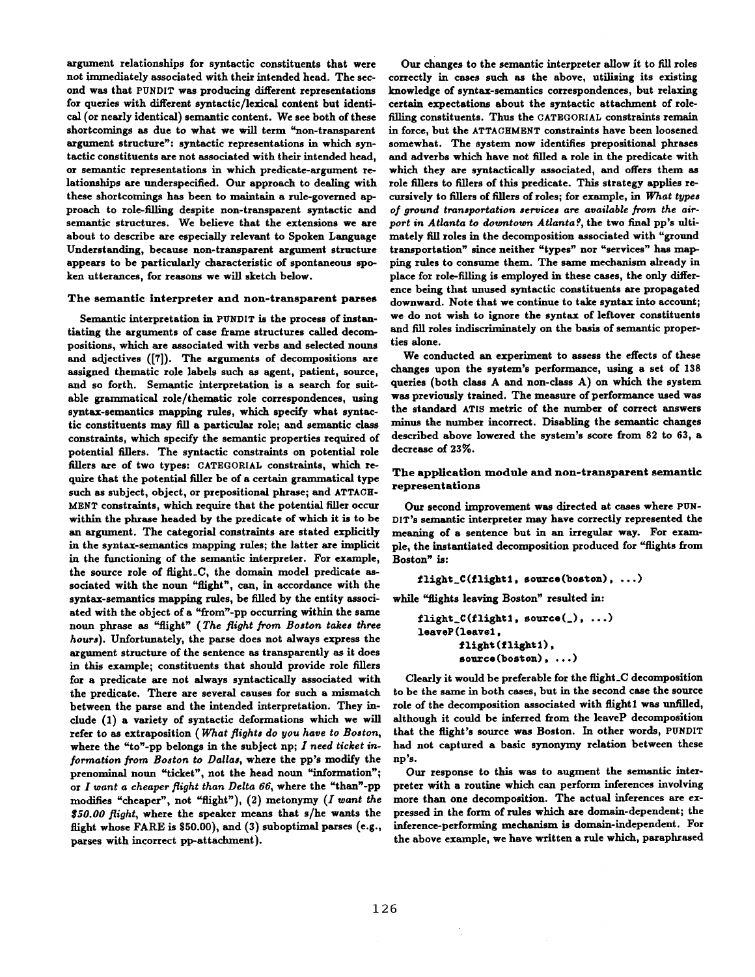argument relationships for syntactic constituents that were not immediately associated with their intended head. The second was that PUNDIT was producing different representations for queries with different syntactic/lexical content but identical (or nearly identical) semantic content. We see both of these shortcomings as due to what we will term "non-transparent argument structure": syntactic representations in which syntactic constituents are not associated with their intended head, or semantic representations in which predicate-argument relationships are underspecified. Our approach to dealing with these shortcomings has been to maintain a rule-governed approach to role-filling despite non-transparent syntactic and semantic structures. We believe that the extensions we are about to describe are especially relevant to Spoken Language Understanding, because non-transparent argument structure appears to be particularly characteristic of spontaneous spoken utterances, for reasons we will sketch below.

#### The semantic interpreter and non-transparent parses

Semantic interpretation in PUNDIT is the process of instantiating the arguments of case frame structures called decompositions, which are associated with verbs and selected nouns and adjectives ([7]). The arguments of decompositions are assigned thematic role labels such as agent, patient, source, and so forth. Semantic interpretation is a search for suitable grammatical role/thematic role correspondences, using syntax-semantics mapping rules, which specify what syntactic constituents may fill a particular role; and semantic class constraints, which specify the semantic properties required of potential fillers. The syntactic constraints on potential role fillers are of two types: CATEGORIAL constraints, which require that the potential filler be of a certain grammatical type such as subject, object, or prepositional phrase; and ATTACH-MENT constraints, which require that the potential filler occur within the phrase headed by the predicate of which it is to be an argument. The categorial constraints are stated explicitly in the syntax-semantics mapping rules; the latter are implicit in the functioning of the semantic interpreter. For example, the source role of flight\_C, the domain model predicate associated with the noun "flight", can, in accordance with the syntax-semantics mapping rules, be filled by the entity associated with the object of a "from'-pp occurring within the same noun phrase as "flight" *(The flight from Boston takes three hours).* Unfortunately, the parse does not always express the argument structure of the sentence as transparently as it does in this example; constituents that should provide role fillers for a predicate are not always syntactically associated with the predicate. There are several causes for such a mismatch between the parse and the intended interpretation. They include (l) a variety of syntactic deformations which we will refer to as extraposition *( What flights do you have to Boston,*  where the "to'-pp belongs in the subject np; *I need ticket information from Boston to Dallas,* where the pp's modify the prenominal noun "ticket", not the head noun "information"; or *I toant a cheaper flight than Delta 66,* where the "than'-pp modifies "cheaper", not "flight"), (2) metonymy (I want the *\$50.00 flight,* where the speaker means that s/he wants the flight whose FARE is \$50.00), and (3) suboptimal parses (e.g., parses with incorrect pp-attachment).

Our changes to the semantic interpreter allow it to fill roles correctly in cases such as the above, utilising its existing knowledge of syntax-semantics correspondences, but relaxing certain expectations about the syntactic attachment of rolefilling constituents. Thus the CATEGORIAL constraints remain in force, but the ATTACHMENT constraints have been loosened somewhat. The system now identifies prepositional phrases and adverbs which have not filled a role in the predicate with which they are syntactically associated, and offers them as role fillers to fillers of this predicate. This strategy applies recursively to fillers of fillers of roles; for example, *in What types of ground transportation services are available from the air*port in Atlanta to downtown Atlanta?, the two final pp's ultimately fill roles in the decomposition associated with "ground transportation" since neither "types" nor "services" has mapping rules to consume them. The same mechanism already in place for role-filling is employed in these cases, the only difference being that unused syntactic constituents are propagated downward. Note that we continue to take syntax into account; we do not wish to ignore the syntax of leftover constituents and fill roles indiscriminately on the basis of semantic properties alone.

We conducted an experiment to assess the effects of these changes upon the system's performance, using a set of 138 queries (both class A and non-class A) on which the system was previously trained. The measure of performance used was the standard ATIS metric of the number of correct answers minus the number incorrect. Disabling the semantic changes described above lowered the system's score from 82 to 63, a decrease of 23%.

## The application module and non-transparent semantic representations

Our second improvement was directed at cases where PUN-DIT's semantic interpreter may have correctly represented the meaning of a sentence but in an irregular way. For exampie, the instantiated decomposition produced for "flights from Boston" is:

```
flight_c(flight, source(boston), ...)
```
while "flights leaving Boston" resulted in:

```
~flight_C(flight1, source(_), ...)
leaveP(leavei,
       flight (flight1),
       source (boston), ...)
```
Clearly it would be preferable for the flight\_C decomposition to be the same in both cases, but in the second case the source role of the decomposition associated with flightl was unfilled, although it could be inferred from the leaveP decomposition that the flight's source was Boston. In other words, PUNDIT had not captured a basic synonymy relation between these np's.

Our response to this was to augment the semantic interpreter with a routine which can perform inferences involving more than one decomposition. The actual inferences are expressed in the form of rules which are domain-dependent; the inference-performlng mechanism is domain-independent. For the above example, we have written a rule which, paraphrased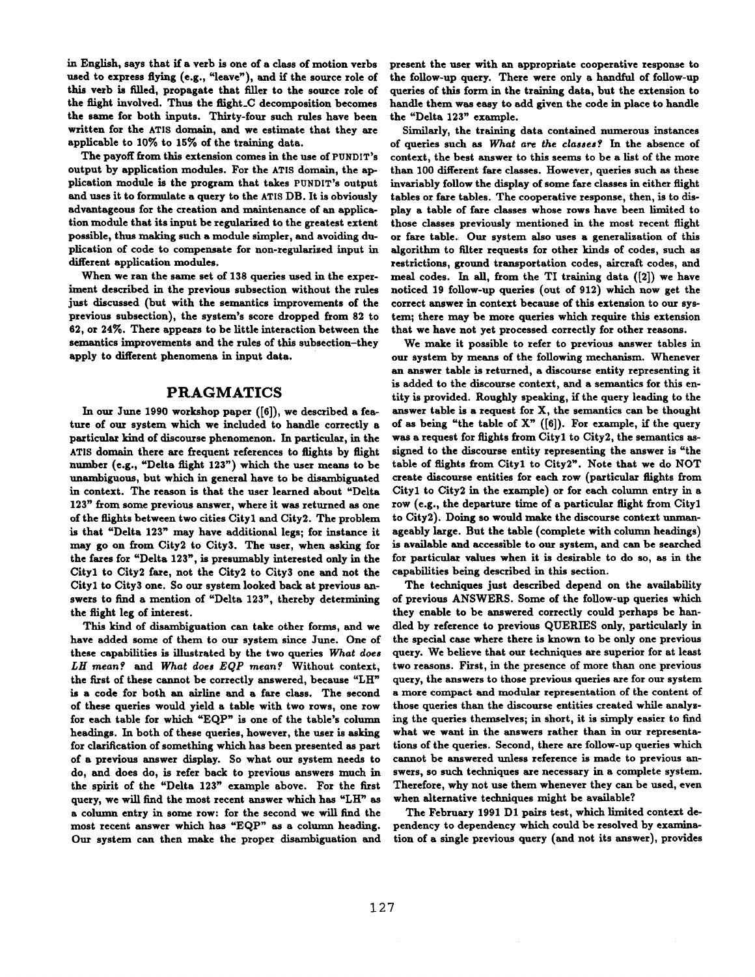in English, says that if a verb is one of a class of motion verbs used to express flying (e.g., "leave"), and if the source role of this verb is filled, propagate that filler to the source role of the flight involved. Thus the flight\_C decomposition becomes the same for both inputs. Thirty-four such rules have been written for the ATIS domain, and we estimate that they are applicable to 10% to 15% of the training data.

The payoff from this extension comes in the use of PUNDIT's output by application modules. For the ATIS domain, the application module is the program that takes PUNDIT's output and uses it to formulate a query to the ATIS DB. It is obviously advantageous for the creation and maintenance of an application module that its input be regularized to the greatest extent possible, thus making such a module simpler, and avoiding duplication of code to compensate for non-regularized input in different application modules.

When we ran the same set of 138 queries used in the experiment described in the previous subsection without the rules just discussed (but with the semantics improvements of the previous subsection), the system's score dropped from 82 to 62, or 24%. There appears to be little interaction between the semantics improvements and the rules of this subsection-they apply to different phenomena in input data.

# PRAGMATICS

In our June 1990 workshop paper ([6]), we described a feature of our system which we included to handle correctly a particular kind of discourse phenomenon. In particular, in the ATIS domain there are frequent references to flights by flight number (e.g., "Delta flight 123") which the user means to be unambiguous, but which in general have to be disambiguated in context. The reason is that the user learned about "Delta 123" from some previous answer, where it was returned as one of the flights between two cities City1 and City2. The problem is that "Delta 123" may have additional legs; for instance it may go on from City2 to City3. The user, when asking for the fares for "Delta 123", is presumably interested only in the City1 to City2 fare, not the City2 to City3 one and not the City1 to City3 one. So our system looked back at previous answers to find a mention of "Delta 123", thereby determining the flight leg of interest.

This kind of disamhiguation can take other forms, and we have added some of them to our system since June. One of these capabilities is illustrated by the two queries *What does LH meanf and What does EQP meanf* Without context, the first of these cannot be correctly answered, because "LH" is a code for both an airline and a fare class. The second of these queries would yield a table with two rows, one row for each table for which "EQP" is one of the table's column headings. In both of these queries, however, the user is asking for clarification of something which has been presented as part of a previous answer display. So what our system needs to do, and does do, is refer back to previous answers much in the spirit of the "Delta 123" example above. For the first query, we will find the most recent answer which has "LH" as a column entry in some row: for the second we will find the most recent answer which has "EQP" as a column heading. Our system can then make the proper disambiguation and

present the user with an appropriate cooperative response to the follow-up query. There were only a handful of follow-up queries of this form in the training data, hut the extension to handle them was easy to add given the code in place to handle the "Delta 123" example.

Similarly, the training data contained numerous instances of queries such as What are the classes? In the absence of context, the best answer to this seems to be a list of the more than 100 different fare classes. However, queries such as these invariably follow the display of some fare classes in either flight tables or fare tables. The cooperative response, then, is to display a table of fare classes whose rows have been limited to those classes previously mentioned in the most recent flight or fare table. Our system also uses a generalization of this algorithm to filter requests for other kinds of codes, such as restrictions, ground transportation codes, aircraft codes, and meal codes. In all, from the TI training data ([2]) we have noticed 19 follow-up queries (out of 912) which now get the correct answer in context because of this extension to our system; there may be more queries which requite this extension that we have not yet processed correctly for other reasons.

We make it possible to refer to previous answer tables in our system by means of the following mechanism. Whenever an answer table is returned, a discourse entity representing it is added to the discourse context, and a semantics for this entity is provided. Roughly speaking, if the query leading to the answer table is a request for X, the semantics can be thought of as being "the table of  $X"$  ([6]). For example, if the query was a request for flights from City1 to City2, the semantics assigned to the discourse entity representing the answer is "the table of flights from City1 to City2". Note that we do NOT create discourse entities for each row (particular flights from City1 to City2 in the example) or for each column entry in a row (e.g., the departure time of a particular flight from Cityl to City2). Doing so would make the discourse context munanageably large. But the table (complete with column headings) is available and accessible to our system, and can be searched for particular values when it is desirable to do so, as in the capabilities being described in this section.

The techniques just described depend on the availability of previous ANSWERS. Some of the follow-up queries which they enable to be answered correctly could perhaps be handled by reference to previous QUERIES only, particularly in the special case where there is known to be only one previous query. We believe that our techniques are superior for at least two reasons. First, in the presence of more than one previous query, the answers to those previous queries are for our system a more compact and modular representation of the content of those queries than the discourse entities created while analysing the queries themselves; in short, it is simply easier to find what we want in the answers rather than in our representations of the queries. Second, there are follow-up queries which cannot he answered unless reference is made to previous answers, so such techniques are necessary in a complete system. Therefore, why not use them whenever they can be used, even when alternative techniques might be available?

The February 1991 D1 pairs test, which limited context dependency to dependency which could be resolved by examination of a single previous query (and not its answer), provides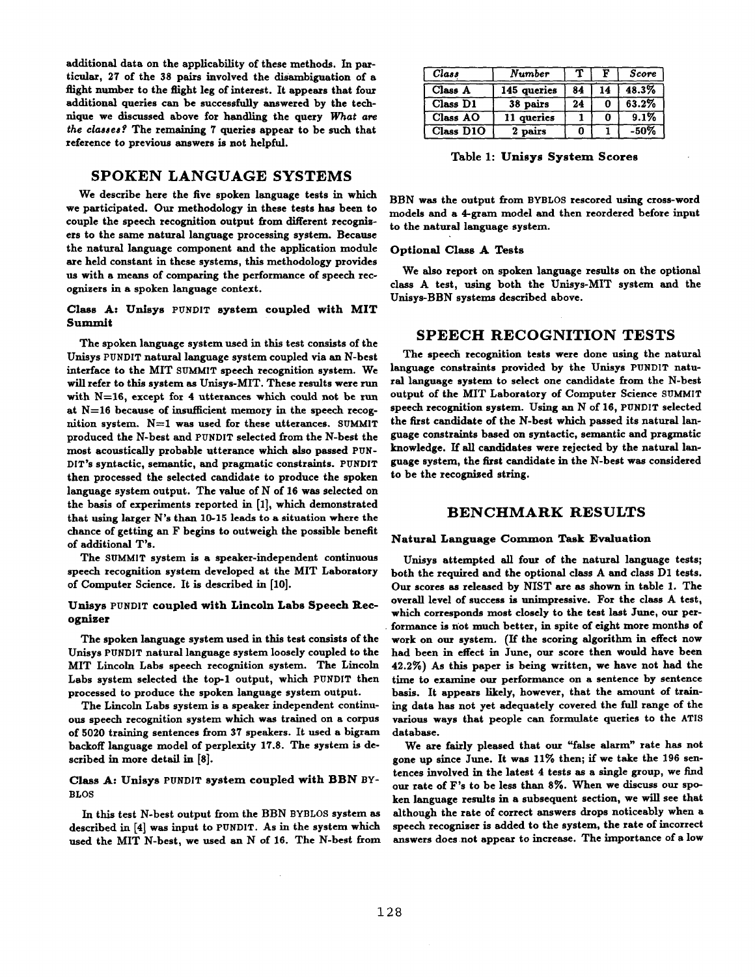additional data on the applicability of these methods. In particular, 27 of the 38 pairs involved the disambiguation of a flight number to the flight leg of interest. It appears that four additional queries can be successfully answered by the technique we discussed above for handling the query *What are the classes?* The remaining 7 queries appear to be such that reference to previous answers is not helpful.

# SPOKEN LANGUAGE SYSTEMS

We describe here the five spoken language tests in which we participated. Our methodology in these tests has been to couple the speech recognition output from different recognizers to the same natural language processing system. Because the natural language component and the application module are held constant in these systems, this methodology provides us with a means of comparing the performance of speech recognizers in a spoken language context.

## Class A: Unisys PUNDIT system coupled with MIT Summit

The spoken language system used in this test consists of the Unisys PUNDIT natural language system coupled via an N-best interface to the MIT SUMMIT speech recognition system. We will refer to this system as Unisys-MIT. These results were run with N=16, except for 4 utterances which could not be run at N=16 because of insufficient memory in the speech recognition system.  $N=1$  was used for these utterances. SUMMIT produced the N-best and PUNDIT selected from the N-best the most acoustically probable utterance which also passed PUN-DIT's syntactic, semantic, and pragmatic constraints. PUNDIT then processed the selected candidate to produce the spoken language system output. The value of N of 16 was selected on the basis of experiments reported in [1], which demonstrated that using larger N's than 10-15 leads to a situation where the chance of getting an F begins to outweigh the possible benefit of additional T's.

The SUMMIT system is a speaker-independent continuous speech recognition system developed at the MIT Laboratory of Computer Science. It is described in [10].

#### Unlsys PUNDIT coupled with Lincoln Labs Speech Recognizer

The spoken language system used in this test consists of the Unisys PUNDIT natural language system loosely coupled to the MIT Lincoln Labs speech recognition system. The Lincoln Labs system selected the top-1 output, which PUNDIT then processed to produce the spoken language system output.

The Lincoln Labs system is a speaker independent continuous speech recognition system which was trained on a corpus of 5020 training sentences from 37 speakers. It used a bigram backoff language model of perplexity 17.8. The system is described in more detail in [8].

## Class A: Unisys PUNDIT system coupled with BBN BY-BLOS

In this test N-best output from the BBN BYBLOS system as described in [4] was input to PUNDIT. As in the system which used the MIT N-best, we used an N of 16. The N-best from

| Class     | Number      | ч. | F  | Score   |  |
|-----------|-------------|----|----|---------|--|
| Class A   | 145 queries | 84 | 14 | 48.3%   |  |
| Class D1  | 38 pairs    | 24 |    | 63.2%   |  |
| Class AO  | 11 queries  |    |    | 9.1%    |  |
| Class D1O | 2 pairs     |    |    | $-50\%$ |  |

Table 1: Unisys System Scores

BBN was the output from BYBLOS rescored using cross-word models and a 4-gram model and then reordered before input to the natural language system.

## Optional Class A Tests

We also report on spoken language results on the optional class A test, using both the Unisys-MIT system and the Unisys-BBN systems described above.

# **SPEECH** RECOGNITION TESTS

The speech recognition tests were done using the natural language constraints provided by the Unisys PUNDIT natural language system to select one candidate from the N-best output of the MIT Laboratory of Computer Science SUMMIT speech recognition system. Using an N of 16, PUNDIT selected the first candidate of the N-best which passed its natural language constraints based on syntactic, semantic and pragmatic knowledge. If all candidates were rejected by the natural language system, the first candidate in the N-best was considered to be the recognized string.

## **BENCHMARK RESULTS**

#### Natural Language Common Task Evaluatlon

Unisys attempted all four of the natural language tests; both the required and the optional class A and class D1 tests. Our scores as released by NIST are as shown in table 1. The overall level of success is unimpressive. For the class A test, which corresponds most closely to the test last June, our performance is not much better, in spite of eight more months of work on our system. (If the scoring algorithm in effect now had been in effect in June, our score then would have been 42.2Ye) As this paper is being written, we have not had the time to examine our performance on a sentence by sentence basis. It appears likely, however, that the amount of training data has not yet adequately covered the full range of the various ways that people can formulate queries to the ATIS database.

We are fairly pleased that our "false alarm" rate has not gone up since June. It was 11% then; if we take the 196 sentences involved in the latest 4 tests as a single group, we find our rate of F's to be less than 8%. When we discuss our spoken language results in a subsequent section, we will see that although the rate of correct answers drops noticeably when a speech recognizer is added to the system, the rate of incorrect answers does not appear to increase. The importance of a low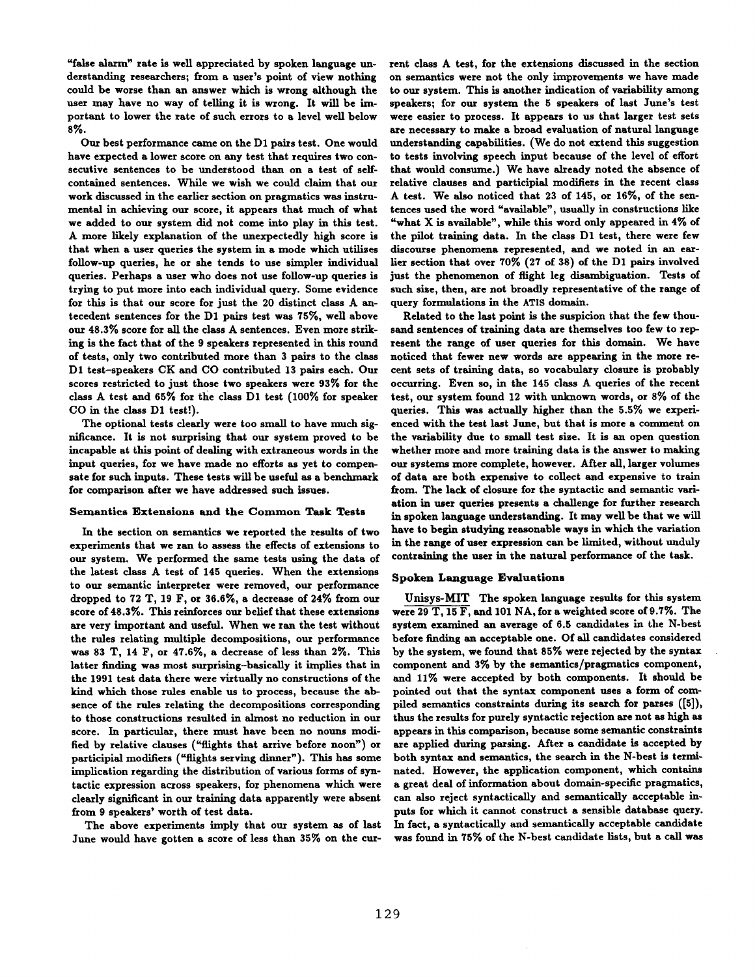"false alarm" rate is well appreciated by spoken language understanding researchers; from a user's point of view nothing could be worse than an answer which is wrong although the user may have no way of telling it is wrong. It will be important to lower the rate of such errors to a level well below S%.

Our best performance came on the D1 pairs test. One would have expected a lower score on any test that requires two consecutive sentences to be understood than on a test of selfcontained sentences. While we wish we could claim that our work discussed in the earlier section on pragmatics was instrumental in achieving our score, it appears that much of what we added to our system did not come into play in this test. A more likely explanation of the unexpectedly high score is that when a user queries the system in a mode which utilizes follow-up queries, he or she tends to use simpler individual queries. Perhaps a user who does not use follow-up queries is trying to put more into each individual query. Some evidence for this is that our score for just the 20 distinct class A antecedent sentences for the D1 pairs test was 75%, well above our 48.3% score for all the class A sentences. Even more striking is the fact that of the 9 speakers represented in this round of tests, only two contributed more than 3 pairs to the class D1 test-speakers CK and CO contributed 13 pairs each. Our scores restricted to just those two speakers were 93% for the class A test and 65% for the class D1 test (100% for speaker CO in the class D1 test!).

The optional tests clearly were too small to have much significance. It is not surprising that our system proved to be incapable at this point of dealing with extraneous words in the input queries, for we have made no efforts as yet to compensate for such inputs. These tests will be useful as a benchmark for comparison after we have addressed such issues.

#### Semantics Extensions and the Common Task Tests

In the section on semantics we reported the results of two experiments that we ran to assess the effects of extensions to our system. We performed the same tests using the data of the latest class A test of 145 queries. When the extensions to our semantic interpreter were removed, our performance dropped to 72 T, 19 F, or 36.6%, a decrease of 24% from our score of 48.3%. This reinforces our belief that these extensions are very important and useful. When we ran the test without the rules relating multiple decompositions, our performance was 83 T, 14 F, or 47.6%, a decrease of less than 2%. This latter finding was most surprising-basically it implies that in the 1991 test data there were virtually no constructions of the kind which those rules enable us to process, because the absence of the rules relating the decompositions corresponding to those constructions resulted in almost no reduction in our score. In particular, there must have been no nouns modified by relative clauses ("flights that arrive before noon") or participial modifiers ("flights serving dinner"). This has some implication regarding the distribution of various forms of syntactic expression across speakers, for phenomena which were dearly significant in our training data apparently were absent from 9 speakers' worth of test data.

The above experiments imply that our system as of last June would have gotten a score of less than 35% on the cur-

rent class A test, for the extensions discussed in the section on semantics were not the only improvements we have made to our system. This is another indication of variability among speakers; for our system the 5 speakers of last June's test were easier to process. It appears to us that larger test sets are necessary to make a broad evaluation of natural language understanding capabilities. (We do not extend this suggestion to tests involving speech input because of the level of effort that would consume.) We have already noted the absence of relative clauses and participial modifiers in the recent class A test. We also noticed that 23 of 145, or 16%, of the sentences used the word "available", usually in constructions like "what X is available", while this word only appeared in 4% of the pilot training data. In the class D1 test, there were few discourse phenomena represented, and we noted in an earlier section that over 70% (27 of 38) of the D1 pairs involved just the phenomenon of flight leg disambiguation. Tests of such size, then, are not broadly representative of the range of query formulations in the ATIS domain.

Related to the last point is the suspicion that the few thousand sentences of training data are themselves too few to represent the range of user queries for this domain. We have noticed that fewer new words are appearing in the more recent sets of training data, so vocabulary closure is probably occurring. Even so, in the 145 class A queries of the recent test, our system found 12 with unknown words, or 8% of the queries. This was actually higher than the 5.5% we experienced with the test last June, but that is more a comment on the variability due to small test size. It is an open question whether more and more training data is the answer to making our systems more complete, however. After all, larger volumes of data are both expensive to collect and expensive to train from. The lack of closure for the syntactic and semantic variation in user queries presents a challenge for further research in spoken language understanding. It may well be that we will have to begin studying reasonable ways in which the variation in the range of user expression can be limited, without unduly contraining the user in the natural performance of the task.

#### Spoken Language Evaluations

Unisys-MIT The spoken language results for this system were 29 T, 15 F, and 101 NA, for a weighted score of 9.7%. The system examined an average of 6.5 candidates in the N-best before finding an acceptable one. Of all candidates considered by the system, we found that 85% were rejected by the syntax component and 3% by the semantics/pragmatics component, and 11% were accepted by both components. It should be pointed out that the syntax component uses a form of compiled semantics constraints during its search for parses ([5]), thus the resnlts for purely syntactic rejection are not as high as appears in this comparison, because some semantic constraints are applied during parsing. After a candidate is accepted by both syntax and semantics, the search in the N-best is terminated. However, the application component, which contains a great deal of information about domain-specific pragmatics, can also reject syntactically and semantically acceptable inputs for which it cannot construct a sensible database query. In fact, a syntactically and semantically acceptable candidate was found in 75% of the N-best candidate lists, but a call was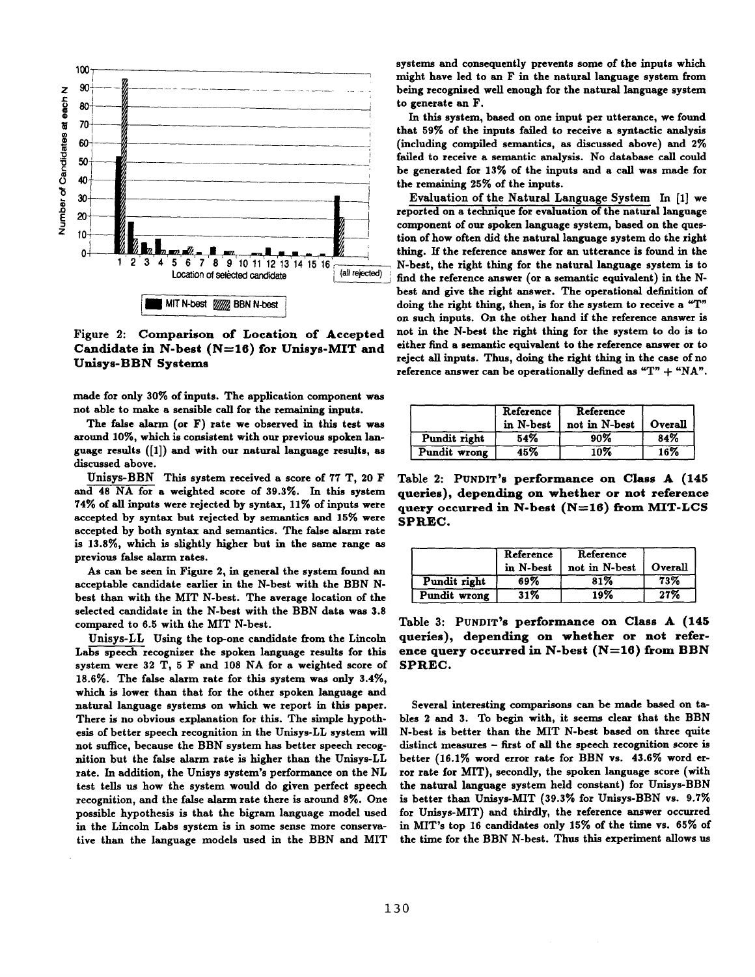

Figure 2: Comparison of Location of Accepted Candidate in N-best  $(N=16)$  for Unisys-MIT and Unisys-BBN Systems

made for only 30% of inputs. The application component was not able to make a sensible call for the remaining inputs.

The false alarm (or F) rate we observed in this test was around 10%, which is consistent with our previous spoken language results ([1]) and with our natural language results, as discussed above.

Unisys-BBN This system received a score of 77 T, 20 F and 48 NA for a weighted score of 39.3%. In this system 74% of all inputs were rejected by syntax, 11% of inputs were accepted by syntax but rejected by semantics and 15% were accepted by both syntax and semantics. The false alarm rate is 13.8%, which is slightly higher but in the same range as previous false alarm rates.

As can be seen in Figure 2, in general the system found an acceptable candidate earlier in the N-best with the BBN **Nbest** than with the MIT N-best. The average location of the selected candidate in the N-best with the BBN data was 3.8 compared to 6.5 with the MIT N-best.

Unisys-LL Using the top-one candidate from the Lincoln Labs speech recognizer the spoken language results for this system were 32 T, 5 F and 108 NA for a weighted score of 18.6%. The false alarm rate for this system was only 3.4%, which is lower than that for the other spoken language and natural language systems on which we report in this paper. There is no obvious explanation for this. The simple hypothesis of better speech recognition in the Unisys-LL system will not suffice, because the BBN system has better speech recognition but the false alarm rate is higher than the Unisys-LL rate. In addition, the Unisys system's performance on the NL test tells us how the system would do given perfect speech recognition, and the false alarm rate there is around 8%. One possible hypothesis is that the bigram language model used in the Lincoln Labs system is in some sense more conservative than the language models used in the BBN and MIT

systems and consequently prevents some of the inputs which might have led to an F in the natural language system from being recognized well enough for the natural language system to generate an F.

In this system, based on one input per utterance, we found that 59% of the inputs failed to receive a syntactic analysis (including compiled semantics, as discussed above) and 2% failed to receive a semantic analysis. No database call could be generated for 13% of the inputs and a call was made for the remaining 25% of the inputs.

Evaluation of the Natural Language System In [1] we reported on a technique for evaluation of the natural language component of our spoken language system, based on the question of how often did the natural language system do the right thing. If the reference answer for an utterance is found in the N-best, the right thing for the natural language system is to find the reference answer (or a semantic equivalent) in the Nbest and give the right answer. The operational definition of doing the right thing, then, is for the system to receive a "T" on such inputs. On the other hand if the reference answer is not in the N-best the right thing for the system to do is to either find a semantic equivalent to the reference answer or to reject all inputs. Thus, doing the right thing in the case of no reference answer can be operationally defined as " $T" + "NA".$ 

|              | Reference<br>in N-best | Reference<br>not in N-best | Overall |  |
|--------------|------------------------|----------------------------|---------|--|
| Pundit right | 54%                    | 90%                        | 84%     |  |
| Pundit wrong | 45%                    | 10%                        | 16%     |  |

Table 2: PUNDIT's performance on Class A (145 queries), depending on whether or not reference query occurred in N-best (N=16) from MIT-LCS SPREC.

|              | Reference<br>Reference<br>in N-best<br>not in N-best |     | Overall |  |
|--------------|------------------------------------------------------|-----|---------|--|
| Pundit right | 69%                                                  | 81% | 73%     |  |
| Pundit wrong | 31%                                                  | 19% | 27%     |  |

Table 3: PUNDIT's performance on Class A (145 queries), depending on whether or not reference query occurred in N-best (N=16) from BBN SPREC.

Several interesting comparisons can be made based on tables 2 and 3. To begin with, it seems clear that the BBN N-best is better than the MIT N-best based on three quite distinct measures - first of all the speech recognition score is better (16.1% word error rate for BBN vs. 43.6% word error rate for MIT), secondly, the spoken language score (with the natural language system held constant) for Unisys-BBN is better than Unisys-MIT (39.3% for Unisys-BBN vs. 9.7% for Unisys-MIT) and thirdly, the reference answer occurred in MIT's top 16 candidates only 15% of the time vs. 65% of the time for the BBN N-best. Thus this experiment allows us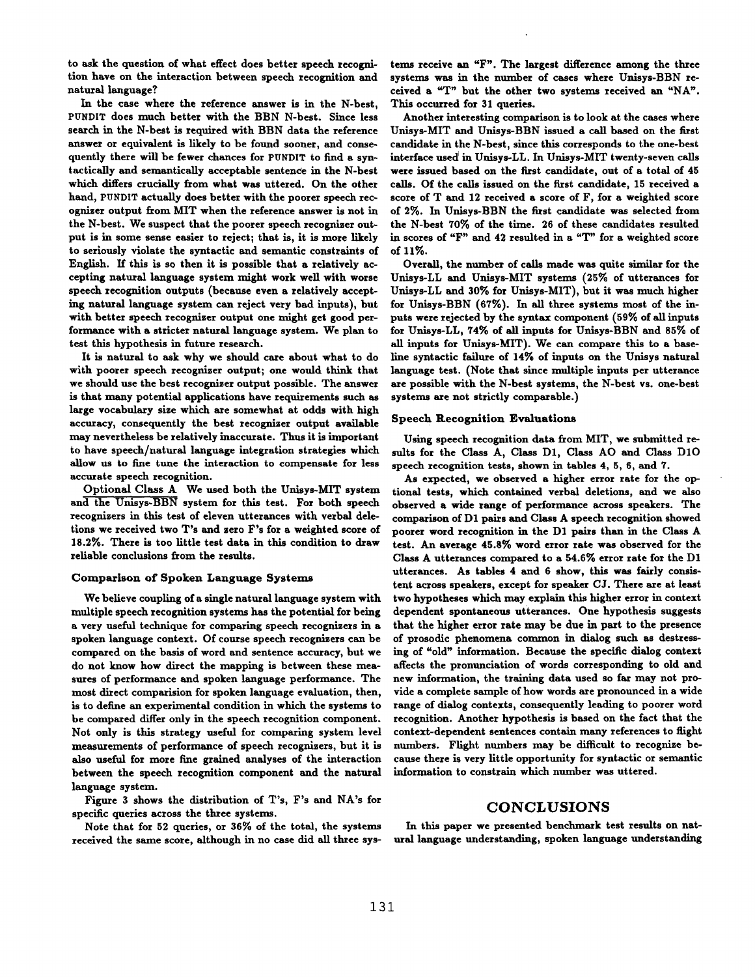to ask the question of what effect does better speech recognition have on the interaction between speech recognition and natural language?

In the case where the reference answer is in the N-best, PUNDIT does much better with the BBN N-best. Since less search in the N-best is required with BBN data the reference answer or equivalent is likely to be found sooner, and consequently there will be fewer chances for PUNDIT to find a syntactically and semantically acceptable sentence in the N-best which differs crucially from what was uttered. On the other hand, PUNDIT actually does better with the poorer speech recogniser output from MIT when the reference answer is not in the N-best. We suspect that the poorer speech recognizer output is in some sense easier to reject; that is, it is more likely to seriously violate the syntactic and semantic constraints of English. If this is so then it is possible that a relatively accepting natural language system might work well with worse speech recognition outputs (because even a relatively accepting natural language system can reject very had inputs), but with better speech recognizer output one might get good performance with a stricter natural language system. We plan to test this hypothesis in future research.

It is natural to ask why we should care about what to do with poorer speech recognizer output; one would think that we should use the best recognizer output possible. The answer is that many potential applications have requirements such as large vocabulary size which are somewhat at odds with high accuracy, consequently the best recognizer output available may nevertheless be relatively inaccurate. Thus it is important to have speech/natural language integration strategies which allow us to fine tune the interaction to compensate for less accurate speech recognition.

Optional Class A We used both the Unisys-MIT system and the Unisys-BBN system for this test. For both speech recognizers in this test of eleven utterances with verbal deletions we received two T's and sero F's for a weighted score of 18.2%. There is too little test data in this condition to draw reliable conclusions from the results.

#### Comparison of Spoken Language Systems

We believe coupling of a single natural language system with multiple speech recognition systems has the potential for being a very useful technique for comparing speech recognizers in a spoken language context. Of course speech recognizers can he compared on the basis of word and sentence accuracy, but we do not know how direct the mapping is between these measures of performance and spoken language performance. The most direct comparision for spoken language evaluation, then, is to define an experimental condition in which the systems to be compared differ only in the speech recognition component. Not only is this strategy useful for comparing system level measurements of performance of speech recognizers, hut it is also useful for more fine grained analyses of the interaction between the speech recognition component and the natural language system.

Figure 3 shows the distribution of T's, F's and NA's for specific queries across the three systems.

Note that for 52 queries, or 36% of the total, the systems received the same score, although in no case did all three sys-

tems receive an "F". The largest difference among the three systems was in the number of cases where Unisys-BBN received a "T" but the other two systems received an "NA'. This occurred for 31 queries.

Another interesting comparison is to look at the cases where Unisys-MIT and Unisys-BBN issued a call based on the first candidate in the N-best, since this corresponds to the one-best interface used in Unisys-LL. In Unisys-MIT twenty-seven calls were issued based on the first candidate, out of a total of 45 calls. Of the calls issued on the first candidate, 15 received a score of T and 12 received a score of F, for a weighted score of 2%. In Unisys-BBN the first candidate was selected from the N-best 70% of the time. 26 of these candidates resulted in scores of "F" and 42 resulted in a "T" for a weighted score of 11%.

Overall, the number of calls made was quite similar for the Unisys-LL and Unisys-MIT systems (25% of utterances for Unisys-LL and 30% for Unisys-MIT), but it was much higher for Unisys-BBN (67%). In all three systems most of the inputs were rejected by the syntax component (59% of all inputs for Unisys-LL, 74% of all inputs for Unisys-BBN and 85% of all inputs for Unisys-MIT). We can compare this to a baseline syntactic falluxe of 14% of inputs on the Unisys natural language test. (Note that since multiple inputs per utterance are possible with the N-best systems, the N-best vs. one-best systems are not strictly comparable.)

#### Speech Recognition Evaluatlons

Using speech recognition data from MIT, we submitted resuits for the Class A, Class D1, Class AO and Class D10 speech recognition tests, shown in tables 4, 5, 6, and 7.

As expected, we observed a higher error rate for the optional tests, which contained verbal deletions, and we also observed a wide range of performance across speakers. The comparison of D1 pairs and Class A speech recognition showed poorer word recognition in the D1 pairs than in the Class A test. An average 45.8% word error rate was observed for the Class A utterances compared to a 54.6% error rate for the D1 utterances. As tables 4 and 6 show, this was fairly consistent across speakers, except for speaker CJ. There are at least two hypotheses which may explain this higher error in context dependent spontaneous utterances. One hypothesis suggests that the higher error rate may be due in part to the presence of prosodic phenomena common in dialog such as destressing of "old" information. Because the specific dialog context affects the pronunciation of words corresponding to old and new information, the training data used so far may not provide a complete sample of how words are pronounced in a wide range of dialog contexts, consequently leading to poorer word recognition. Another hypothesis is based on the fact that the context-dependent sentences contain many references to flight numbers. Flight numbers may be difficult to recognize hecause there is very little opportunity for syntactic or semantic information to constrain which number was uttered.

#### CONCLUSIONS

In this paper we presented benchmark test results on natural language understanding, spoken language understanding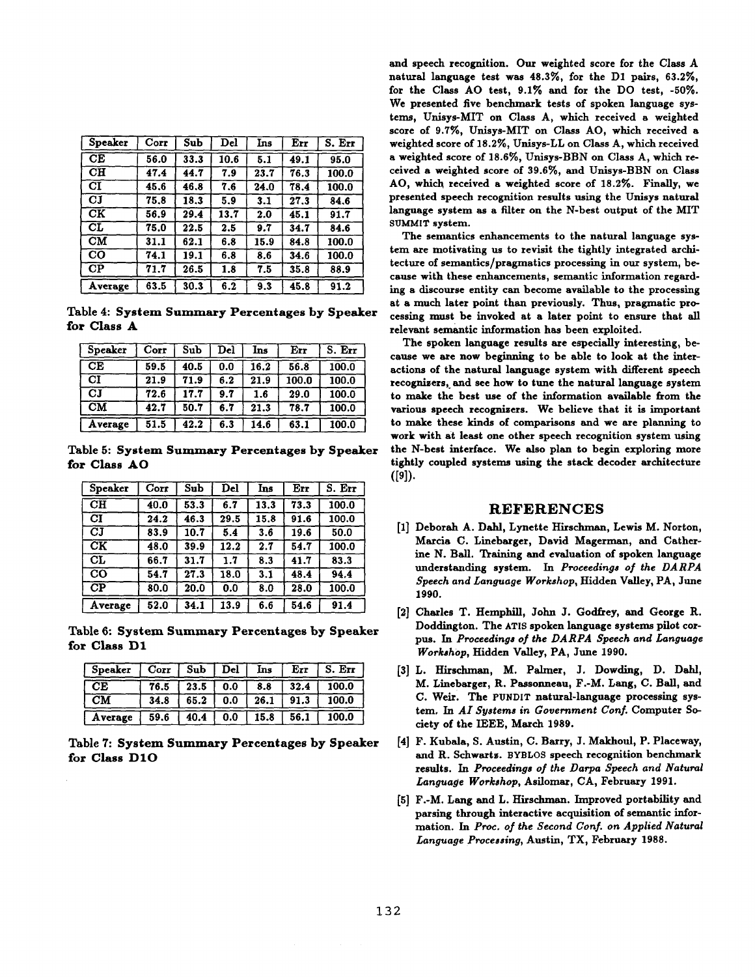| Speaker                  | Corr | Sub  | $_{\rm Del}$ | Ins  | Err  | S. Err |
|--------------------------|------|------|--------------|------|------|--------|
| CĒ                       | 56.0 | 33.3 | 10.6         | 5.1  | 49.1 | 95.0   |
| $\overline{\text{CH}}$   | 47.4 | 44.7 | 7.9          | 23.7 | 76.3 | 100.0  |
| CI                       | 45.6 | 46.8 | 7.6          | 24.0 | 78.4 | 100.0  |
| $_{\rm CJ}$              | 75.8 | 18.3 | 5.9          | 3.1  | 27.3 | 84.6   |
| CK                       | 56.9 | 29.4 | 13.7         | 2.0  | 45.1 | 91.7   |
| СĹ                       | 75.0 | 22.5 | 2.5          | 9.7  | 34.7 | 84.6   |
| CM                       | 31.1 | 62.1 | 6.8          | 15.9 | 84.8 | 100.0  |
| $\overline{\textbf{CO}}$ | 74.1 | 19.1 | 6.8          | 8.6  | 34.6 | 100.0  |
| СP                       | 71.7 | 26.5 | 1.8          | 7.5  | 35.8 | 88.9   |
| Average                  | 63.5 | 30.3 | 6.2          | 9.3  | 45.8 | 91.2   |

Table 4: System Summary Percentages by Speaker for Class A

| <b>Speaker</b>         | Corr | Sub  | Del | Ins  | Err   | S. Err |
|------------------------|------|------|-----|------|-------|--------|
| $\overline{\text{CE}}$ | 59.5 | 40.5 | 0.0 | 16.2 | 56.8  | 100.0  |
| CI                     | 21.9 | 71.9 | 6.2 | 21.9 | 100.0 | 100.0  |
| CI                     | 72.6 | 17.7 | 9.7 | 1.6  | 29.0  | 100.0  |
| $\overline{\text{CM}}$ | 42.7 | 50.7 | 6.7 | 21.3 | 78.7  | 100.0  |
| Average                | 51.5 | 42.2 | 6.3 | 14.6 | 63.1  | 100.0  |

Table 5: System Summary Percentages by Speaker for Class AO

| <b>Speaker</b>                | Corr | Sub  | $\overline{\text{Del}}$ | Ins  | Err  | S. Err |
|-------------------------------|------|------|-------------------------|------|------|--------|
| $\overline{\text{CH}}$        | 40.0 | 53.3 | 6.7                     | 13.3 | 73.3 | 100.0  |
| CI                            | 24.2 | 46.3 | 29.5                    | 15.8 | 91.6 | 100.0  |
| CJ                            | 83.9 | 10.7 | 5.4                     | 3.6  | 19.6 | 50.0   |
| $\overline{\text{c}\text{k}}$ | 48.0 | 39.9 | 12.2                    | 2.7  | 54.7 | 100.0  |
| CL                            | 66.7 | 31.7 | 1.7                     | 8.3  | 41.7 | 83.3   |
| $\overline{\text{CO}}$        | 54.7 | 27.3 | 18.0                    | 3.1  | 48.4 | 94.4   |
| $\overline{CP}$               | 80.0 | 20.0 | 0.0                     | 8.0  | 28.0 | 100.0  |
| Average                       | 52.0 | 34.1 | 13.9                    | 6.6  | 54.6 | 91.4   |

Table 6: System Summary Percentages by Speaker for Class D1

| Speaker                | Corr | Sub  | Del | Ins  | Err  | S. Err |
|------------------------|------|------|-----|------|------|--------|
| CE                     | 76.5 | 23.5 | 0.0 | 8.8  | 32.4 | 100.0  |
| $\mathbf{C}\mathbf{M}$ | 34.8 | 65.2 | 0.0 | 26.1 | 91.3 | 100.0  |
| Average                | 59.6 | 40.4 | 0.0 | 15.8 | 56.1 | 100.0  |

Table 7: System Summary Percentages by Speaker for Class D1O

and speech recognition. Our weighted score for the Class A natural language test was 48.3%, for the D1 pairs, 63.2%, for the Class AO test, 9.1% and for the DO test, -50%. We presented five benchmark tests of spoken language systems, Unisys-MIT on Class A, which received a weighted score of 9.7%, Unisys-MIT on Class AO, which received a weighted score of 18.2%, Unisys-LL on Class A, which received a weighted score of 18.6%, Unisys-BBN on Class A, which received a weighted score of 39.6%, and Unisys-BBN on Class AO, which received a weighted score of 18.2%. Finally, we presented speech recognition results using the Unisys natural language system as a filter on the N-best output of the MIT SUMMIT system.

The semantics enhancements to the natural language system are motivating us to revisit the tightly integrated architecture of semantics/pragmatics processing in our system, because with these enhancements, semantic information regarding a discourse entity can become available to the processing at a much later point than previously. Thus, pragmatic processing must be invoked at a later point to ensure that all relevant semantic information has been exploited.

The spoken language results are especially interesting, because we are now beginning to be able to look at the interactions of the natural language system with different speech recognizers, and see how to tune the natural language system to make the best use of the information available from the various speech recognizers. We believe that it is important to make these kinds of comparisons and we are planning to work with at least one other speech recognition system using the N-best interface. We also plan to begin exploring more tightly coupled systems using the stack decoder architecture  $([9]).$ 

# **REFERENCES**

- [1] Deborah A. Dahl, Lynette Hirschman, Lewis M. Norton, Marcia C. Linebarger, David Magerman, and Catherine N. Ball. Training and evaluation of spoken language understanding system. In Proceedings of the DARPA Speech and Language Workshop, Hidden Valley, PA, June 1990.
- [2] Charles T. Hemphill, John J. Godfrey, and George R. Doddington. The ATIS spoken language systems pilot corpus. In Proceedings of the DARPA Speech and Language Workshop, Hidden Valley, PA, June 1990.
- [3] L. Hirschman, M. Palmer, J. Dowding, D. Dahl, M. Linebarger, R. Passonneau, F.-M. Lang, C. Ball, and C. Weir. The PUNDIT natural-language processing system. In AI Systems in Government Conf. Computer Society of the IEEE, March 1989.
- [4] F. Kubala, S. Austin, C. Barry, J. Makhoul, P. Placeway, and R. Schwartz. BYBLOS speech recognition benchmark results. In Proceedings of the Darpa Speech and Natural Language Workshop, Asilomar, CA, February 1991.
- [5] F.-M. Lang and L. Hirschman. Improved portability and parsing through interactive acquisition of semantic information. In Proc. of the Second Conf. on Applied Natural Language Processing, Austin, TX, February 1988.